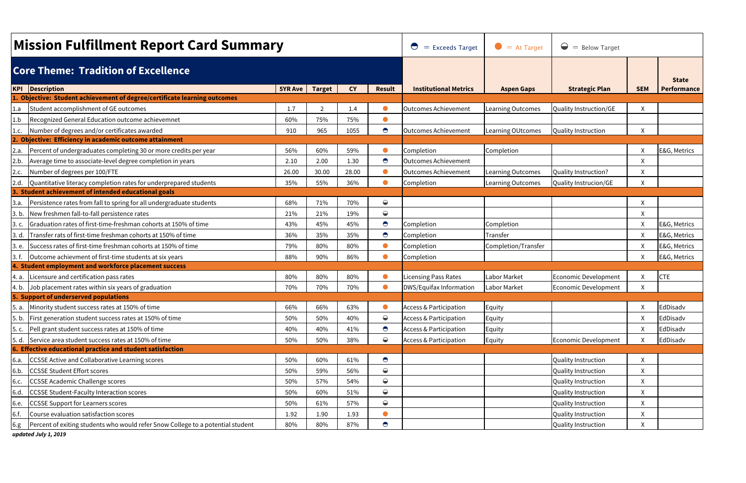|              | <b>Mission Fulfillment Report Card Summary</b>                                                                         | $\bigcirc$<br>$=$ Exceeds Target | $\bullet$ = At Target | $\bigcirc$ = Below Target |               |                                   |                          |                             |            |              |
|--------------|------------------------------------------------------------------------------------------------------------------------|----------------------------------|-----------------------|---------------------------|---------------|-----------------------------------|--------------------------|-----------------------------|------------|--------------|
|              | <b>Core Theme: Tradition of Excellence</b>                                                                             |                                  |                       |                           |               | <b>State</b>                      |                          |                             |            |              |
| <b>KPI</b>   | Description                                                                                                            | <b>5YR Ave</b>                   | <b>Target</b>         | <b>CY</b>                 | <b>Result</b> | <b>Institutional Metrics</b>      | <b>Aspen Gaps</b>        | <b>Strategic Plan</b>       | <b>SEM</b> | Performance  |
|              | . Objective: Student achievement of degree/certificate learning outcomes                                               |                                  |                       |                           |               |                                   |                          |                             |            |              |
| 1.a          | Student accomplishment of GE outcomes                                                                                  | 1.7                              | $\mathcal{P}$         | 1.4                       | $\bullet$     | Outcomes Achievement              | Learning Outcomes        | Quality Instruction/GE      | X          |              |
| 1.b          | Recognized General Education outcome achievemnet                                                                       | 60%                              | 75%                   | 75%                       | $\bullet$     |                                   |                          |                             |            |              |
|              | Number of degrees and/or certificates awarded<br><b>Objective: Efficiency in academic outcome attainment</b>           | 910                              | 965                   | 1055                      | $\bullet$     | <b>Outcomes Achievement</b>       | <b>Learning OUtcomes</b> | Quality Instruction         | X          |              |
|              | Percent of undergraduates completing 30 or more credits per year                                                       | 56%                              | 60%                   | 59%                       | $\bullet$     | Completion                        | Completion               |                             | X          | E&G, Metrics |
| 2.a.         |                                                                                                                        |                                  | 2.00                  | 1.30                      | $\bullet$     | Outcomes Achievement              |                          |                             |            |              |
| 2.b.         | Average time to associate-level degree completion in years                                                             | 2.10                             |                       |                           | $\bullet$     | <b>Outcomes Achievement</b>       |                          |                             | X          |              |
| 2.c.<br>2.d. | Number of degrees per 100/FTE                                                                                          | 26.00                            | 30.00                 | 28.00<br>36%              | $\bullet$     |                                   | <b>Learning Outcomes</b> | Quality Instruction?        | X          |              |
|              | Quantitative literacy completion rates for underprepared students<br>Student achievement of intended educational goals | 35%                              | 55%                   |                           |               | Completion                        | Learning Outcomes        | Quality Instrucion/GE       | X          |              |
| <u>3.a.</u>  | Persistence rates from fall to spring for all undergraduate students                                                   | 68%                              | 71%                   | 70%                       | $\bigodot$    |                                   |                          |                             | X          |              |
| 3. b.        | New freshmen fall-to-fall persistence rates                                                                            | 21%                              | 21%                   | 19%                       | $\bigcirc$    |                                   |                          |                             | X          |              |
| 3.c.         | Graduation rates of first-time-freshman cohorts at 150% of time                                                        | 43%                              | 45%                   | 45%                       | $\bullet$     | Completion                        | Completion               |                             | X          | E&G, Metrics |
| 3. d.        | Transfer rats of first-time freshman cohorts at 150% of time                                                           | 36%                              | 35%                   | 35%                       | $\bullet$     | Completion                        | Transfer                 |                             | X          | E&G, Metrics |
| 3. e.        | Success rates of first-time freshman cohorts at 150% of time                                                           | 79%                              | 80%                   | 80%                       | $\bullet$     | Completion                        | Completion/Transfer      |                             | X          | E&G, Metrics |
| 3. f.        | Outcome achievment of first-time students at six years                                                                 | 88%                              | 90%                   | 86%                       | $\bullet$     | Completion                        |                          |                             | X          | E&G, Metrics |
| 4.           | <b>Student employment and workforce placement success</b>                                                              |                                  |                       |                           |               |                                   |                          |                             |            |              |
| 4. a.        | Licensure and certification pass rates                                                                                 | 80%                              | 80%                   | 80%                       | $\bullet$     | <b>Licensing Pass Rates</b>       | Labor Market             | <b>Economic Development</b> | X          | <b>CTE</b>   |
| 4. b.        | Job placement rates within six years of graduation                                                                     | 70%                              | 70%                   | 70%                       | $\bullet$     | DWS/Equifax Information           | Labor Market             | Economic Development        | X          |              |
|              | 5. Support of underserved populations                                                                                  |                                  |                       |                           |               |                                   |                          |                             |            |              |
| 5. a.        | Minority student success rates at 150% of time                                                                         | 66%                              | 66%                   | 63%                       |               | <b>Access &amp; Participation</b> | Equity                   |                             | X          | EdDisadv     |
| 5. b.        | First generation student success rates at 150% of time                                                                 | 50%                              | 50%                   | 40%                       | $\bigcirc$    | <b>Access &amp; Participation</b> | Equity                   |                             | X          | EdDisadv     |
| 5. c.        | Pell grant student success rates at 150% of time                                                                       | 40%                              | 40%                   | 41%                       | $\bullet$     | <b>Access &amp; Participation</b> | Equity                   |                             | X          | EdDisadv     |
| 5. d.        | Service area student success rates at 150% of time                                                                     | 50%                              | 50%                   | 38%                       | $\bigcirc$    | <b>Access &amp; Participation</b> | Equity                   | Economic Development        | X          | EdDisadv     |
|              | 6. Effective educational practice and student satisfaction                                                             |                                  |                       |                           |               |                                   |                          |                             |            |              |
| 6.a.         | CCSSE Active and Collaborative Learning scores                                                                         | 50%                              | 60%                   | 61%                       | $\bullet$     |                                   |                          | <b>Quality Instruction</b>  | X          |              |
| 6.b.         | <b>CCSSE Student Effort scores</b>                                                                                     | 50%                              | 59%                   | 56%                       | $\bigcirc$    |                                   |                          | Quality Instruction         | X          |              |
| 6.c.         | <b>CCSSE Academic Challenge scores</b>                                                                                 | 50%                              | 57%                   | 54%                       | $\bigcirc$    |                                   |                          | <b>Quality Instruction</b>  | X          |              |
| 6.d.         | <b>CCSSE Student-Faculty Interaction scores</b>                                                                        | 50%                              | 60%                   | 51%                       | $\bigcirc$    |                                   |                          | Quality Instruction         | X          |              |
| 6.e.         | <b>CCSSE Support for Learners scores</b>                                                                               | 50%                              | 61%                   | 57%                       | $\bigcirc$    |                                   |                          | Quality Instruction         | X          |              |
| 6.f.         | Course evaluation satisfaction scores                                                                                  | 1.92                             | 1.90                  | 1.93                      |               |                                   |                          | Quality Instruction         | X          |              |
| 6.g.         | Percent of exiting students who would refer Snow College to a potential student                                        | 80%                              | 80%                   | 87%                       | $\bullet$     |                                   |                          | Quality Instruction         | X          |              |

*updated July 1, 2019*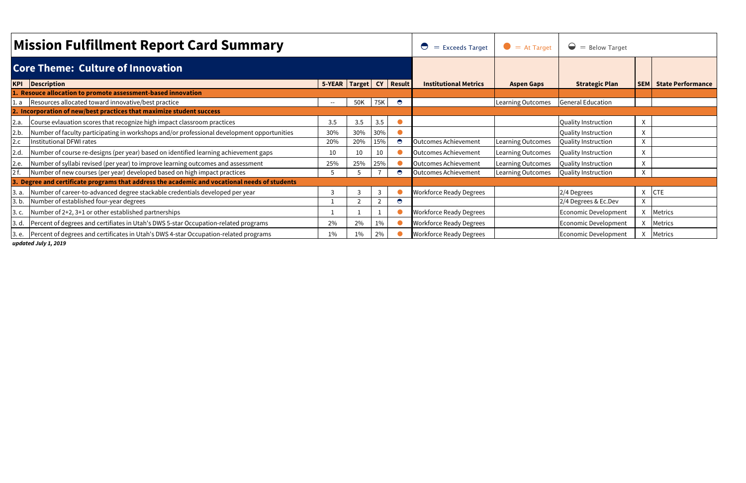|                                          | <b>Mission Fulfillment Report Card Summary</b>                                                | $=$ Exceeds Target<br>$\bigcirc$ | $\bullet$ = At Target | $\bullet$<br>$=$ Below Target |           |                                |                          |                             |   |                              |
|------------------------------------------|-----------------------------------------------------------------------------------------------|----------------------------------|-----------------------|-------------------------------|-----------|--------------------------------|--------------------------|-----------------------------|---|------------------------------|
| <b>Core Theme: Culture of Innovation</b> |                                                                                               |                                  |                       |                               |           |                                |                          |                             |   |                              |
|                                          | <b>KPI</b> Description                                                                        | 5-YEAR   Target   CY   Result    |                       |                               |           | <b>Institutional Metrics</b>   | <b>Aspen Gaps</b>        | <b>Strategic Plan</b>       |   | <b>SEM State Performance</b> |
|                                          | 1. Resouce allocation to promote assessment-based innovation                                  |                                  |                       |                               |           |                                |                          |                             |   |                              |
|                                          | 1. a Resources allocated toward innovative/best practice                                      | $\sim$                           | 50K                   | 75K                           | $\bullet$ |                                | <b>Learning Outcomes</b> | <b>General Education</b>    |   |                              |
|                                          | 2. Incorporation of new/best practices that maximize student success                          |                                  |                       |                               |           |                                |                          |                             |   |                              |
| 2.a.                                     | Course evlauation scores that recognize high impact classroom practices                       | 3.5                              | 3.5                   | 3.5                           |           |                                |                          | Quality Instruction         | x |                              |
| 2.b.                                     | Number of faculty participating in workshops and/or professional development opportunities    | 30%                              | 30%                   | 30%                           |           |                                |                          | Quality Instruction         |   |                              |
| 2.c                                      | Institutional DFWI rates                                                                      | 20%                              | 20%                   | 15%                           | $\bullet$ | <b>Outcomes Achievement</b>    | Learning Outcomes        | Quality Instruction         |   |                              |
| 2.d.                                     | Number of course re-designs (per year) based on identified learning achievement gaps          | 10                               | 10                    | 10                            |           | <b>Outcomes Achievement</b>    | <b>Learning Outcomes</b> | Quality Instruction         |   |                              |
| 2.e.                                     | Number of syllabi revised (per year) to improve learning outcomes and assessment              | 25%                              | 25%                   | 25%                           |           | <b>Outcomes Achievement</b>    | Learning Outcomes        | Quality Instruction         |   |                              |
| 2f.                                      | Number of new courses (per year) developed based on high impact practices                     | $\mathcal{F}$                    |                       |                               | $\bullet$ | <b>Outcomes Achievement</b>    | Learning Outcomes        | Quality Instruction         | x |                              |
|                                          | 3. Degree and certificate programs that address the academic and vocational needs of students |                                  |                       |                               |           |                                |                          |                             |   |                              |
| 3. a.                                    | Number of career-to-advanced degree stackable credentials developed per year                  | 3                                |                       |                               |           | <b>Workforce Ready Degrees</b> |                          | 2/4 Degrees                 |   | $X$ CTE                      |
| 3. b.                                    | Number of established four-year degrees                                                       |                                  |                       |                               | $\bullet$ |                                |                          | 2/4 Degrees & Ec.Dev        |   |                              |
|                                          | $\vert$ 3. c. $\vert$ Number of 2+2, 3+1 or other established partnerships                    |                                  |                       |                               |           | <b>Workforce Ready Degrees</b> |                          | <b>Economic Development</b> |   | <b>Metrics</b>               |
|                                          | 3. d. Percent of degrees and certifiates in Utah's DWS 5-star Occupation-related programs     | 2%                               | 2%                    | 1%                            |           | <b>Workforce Ready Degrees</b> |                          | <b>Economic Development</b> |   | <b>Metrics</b>               |
|                                          | 3. e.   Percent of degrees and certificates in Utah's DWS 4-star Occupation-related programs  | 1%                               | $1\%$                 | 2%                            |           | <b>Workforce Ready Degrees</b> |                          | <b>Economic Development</b> |   | <b>Metrics</b>               |

*updated July 1, 2019*